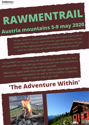## **RAWMENTRAIL Austria mountains 5-9 may <sup>2020</sup>**

Do you want to unplug yourself from the hustle and bustle of everyday life? Do you want time for yourself and that in the midst of the mighty power of mountains around you? Do you want to inspire yourself within the elements of nature?

A RawMenTrail is a journey with a small group of other men and<br>A RawMenTrail is a journey with a small group time the elements to with yourself in <sup>a</sup> way that you shape yourself with the elements to bring out the man in yourself. Beautiful rugge<sup>d</sup> walks and overnight stays in <sup>p</sup>laces high in the

mountains. In <sup>a</sup> mountainhut as well as the possibility to spen<sup>d</sup> <sup>a</sup> night in nature, only if you wish.

## **'The Adventure Within'**